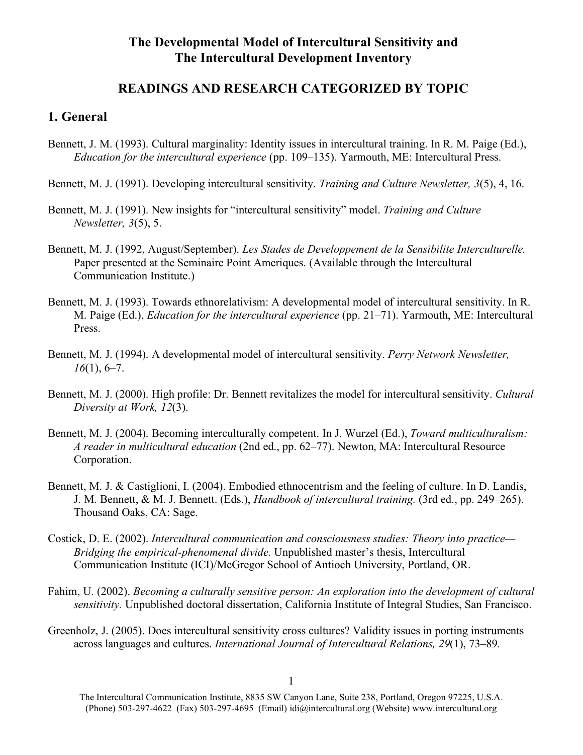# **The Developmental Model of Intercultural Sensitivity and The Intercultural Development Inventory**

# **READINGS AND RESEARCH CATEGORIZED BY TOPIC**

#### **1. General**

- Bennett, J. M. (1993). Cultural marginality: Identity issues in intercultural training. In R. M. Paige (Ed.), *Education for the intercultural experience* (pp. 109–135). Yarmouth, ME: Intercultural Press.
- Bennett, M. J. (1991). Developing intercultural sensitivity. *Training and Culture Newsletter, 3*(5), 4, 16.
- Bennett, M. J. (1991). New insights for "intercultural sensitivity" model. *Training and Culture Newsletter, 3*(5), 5.
- Bennett, M. J. (1992, August/September). *Les Stades de Developpement de la Sensibilite Interculturelle.* Paper presented at the Seminaire Point Ameriques. (Available through the Intercultural Communication Institute.)
- Bennett, M. J. (1993). Towards ethnorelativism: A developmental model of intercultural sensitivity. In R. M. Paige (Ed.), *Education for the intercultural experience* (pp. 21–71). Yarmouth, ME: Intercultural Press.
- Bennett, M. J. (1994). A developmental model of intercultural sensitivity. *Perry Network Newsletter, 16*(1), 6–7.
- Bennett, M. J. (2000). High profile: Dr. Bennett revitalizes the model for intercultural sensitivity. *Cultural Diversity at Work, 12*(3).
- Bennett, M. J. (2004). Becoming interculturally competent. In J. Wurzel (Ed.), *Toward multiculturalism: A reader in multicultural education* (2nd ed., pp. 62–77). Newton, MA: Intercultural Resource Corporation.
- Bennett, M. J. & Castiglioni, I. (2004). Embodied ethnocentrism and the feeling of culture. In D. Landis, J. M. Bennett, & M. J. Bennett. (Eds.), *Handbook of intercultural training.* (3rd ed., pp. 249–265). Thousand Oaks, CA: Sage.
- Costick, D. E. (2002). *Intercultural communication and consciousness studies: Theory into practice— Bridging the empirical-phenomenal divide.* Unpublished master's thesis, Intercultural Communication Institute (ICI)/McGregor School of Antioch University, Portland, OR.
- Fahim, U. (2002). *Becoming a culturally sensitive person: An exploration into the development of cultural sensitivity.* Unpublished doctoral dissertation, California Institute of Integral Studies, San Francisco.
- Greenholz, J. (2005). Does intercultural sensitivity cross cultures? Validity issues in porting instruments across languages and cultures. *International Journal of Intercultural Relations, 29*(1), 73–89*.*

The Intercultural Communication Institute, 8835 SW Canyon Lane, Suite 238, Portland, Oregon 97225, U.S.A. (Phone) 503-297-4622 (Fax) 503-297-4695 (Email) idi@intercultural.org (Website) www.intercultural.org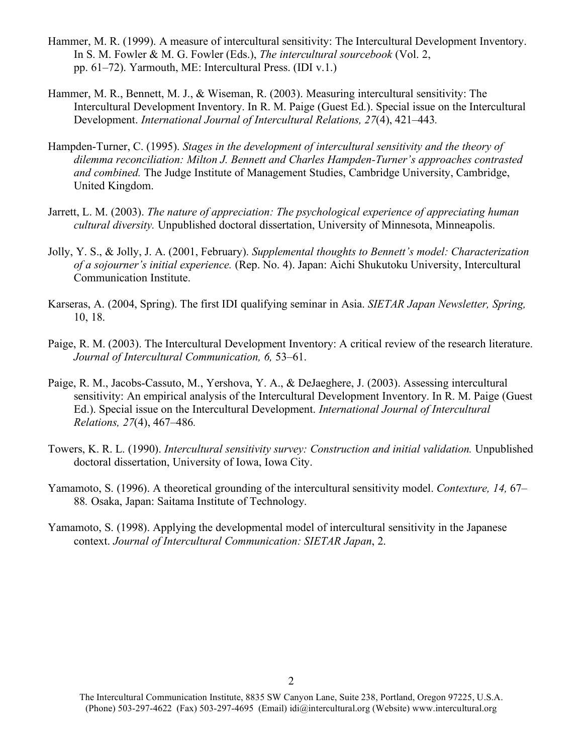- Hammer, M. R. (1999). A measure of intercultural sensitivity: The Intercultural Development Inventory. In S. M. Fowler & M. G. Fowler (Eds.), *The intercultural sourcebook* (Vol. 2, pp. 61–72). Yarmouth, ME: Intercultural Press. (IDI v.1.)
- Hammer, M. R., Bennett, M. J., & Wiseman, R. (2003). Measuring intercultural sensitivity: The Intercultural Development Inventory. In R. M. Paige (Guest Ed.). Special issue on the Intercultural Development. *International Journal of Intercultural Relations, 27*(4), 421–443*.*
- Hampden-Turner, C. (1995). *Stages in the development of intercultural sensitivity and the theory of dilemma reconciliation: Milton J. Bennett and Charles Hampden-Turner's approaches contrasted and combined.* The Judge Institute of Management Studies, Cambridge University, Cambridge, United Kingdom.
- Jarrett, L. M. (2003). *The nature of appreciation: The psychological experience of appreciating human cultural diversity.* Unpublished doctoral dissertation, University of Minnesota, Minneapolis.
- Jolly, Y. S., & Jolly, J. A. (2001, February). *Supplemental thoughts to Bennett's model: Characterization of a sojourner's initial experience.* (Rep. No. 4). Japan: Aichi Shukutoku University, Intercultural Communication Institute.
- Karseras, A. (2004, Spring). The first IDI qualifying seminar in Asia. *SIETAR Japan Newsletter, Spring,* 10, 18.
- Paige, R. M. (2003). The Intercultural Development Inventory: A critical review of the research literature. *Journal of Intercultural Communication, 6,* 53–61.
- Paige, R. M., Jacobs-Cassuto, M., Yershova, Y. A., & DeJaeghere, J. (2003). Assessing intercultural sensitivity: An empirical analysis of the Intercultural Development Inventory. In R. M. Paige (Guest Ed.). Special issue on the Intercultural Development. *International Journal of Intercultural Relations, 27*(4), 467–486*.*
- Towers, K. R. L. (1990). *Intercultural sensitivity survey: Construction and initial validation.* Unpublished doctoral dissertation, University of Iowa, Iowa City.
- Yamamoto, S. (1996). A theoretical grounding of the intercultural sensitivity model. *Contexture, 14,* 67– 88*.* Osaka, Japan: Saitama Institute of Technology.
- Yamamoto, S. (1998). Applying the developmental model of intercultural sensitivity in the Japanese context. *Journal of Intercultural Communication: SIETAR Japan*, 2.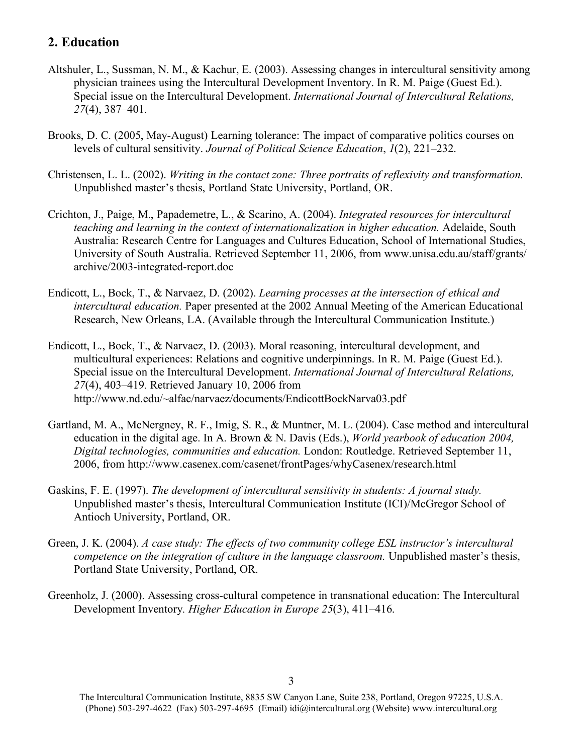## **2. Education**

- Altshuler, L., Sussman, N. M., & Kachur, E. (2003). Assessing changes in intercultural sensitivity among physician trainees using the Intercultural Development Inventory. In R. M. Paige (Guest Ed.). Special issue on the Intercultural Development. *International Journal of Intercultural Relations, 27*(4), 387–401*.*
- Brooks, D. C. (2005, May-August) Learning tolerance: The impact of comparative politics courses on levels of cultural sensitivity. *Journal of Political Science Education*, *1*(2), 221–232.
- Christensen, L. L. (2002). *Writing in the contact zone: Three portraits of reflexivity and transformation.* Unpublished master's thesis, Portland State University, Portland, OR.
- Crichton, J., Paige, M., Papademetre, L., & Scarino, A. (2004). *Integrated resources for intercultural teaching and learning in the context of internationalization in higher education.* Adelaide, South Australia: Research Centre for Languages and Cultures Education, School of International Studies, University of South Australia. Retrieved September 11, 2006, from www.unisa.edu.au/staff/grants/ archive/2003-integrated-report.doc
- Endicott, L., Bock, T., & Narvaez, D. (2002). *Learning processes at the intersection of ethical and intercultural education.* Paper presented at the 2002 Annual Meeting of the American Educational Research, New Orleans, LA. (Available through the Intercultural Communication Institute.)
- Endicott, L., Bock, T., & Narvaez, D. (2003). Moral reasoning, intercultural development, and multicultural experiences: Relations and cognitive underpinnings. In R. M. Paige (Guest Ed.). Special issue on the Intercultural Development. *International Journal of Intercultural Relations, 27*(4), 403–419*.* Retrieved January 10, 2006 from http://www.nd.edu/~alfac/narvaez/documents/EndicottBockNarva03.pdf
- Gartland, M. A., McNergney, R. F., Imig, S. R., & Muntner, M. L. (2004). Case method and intercultural education in the digital age. In A. Brown & N. Davis (Eds.), *World yearbook of education 2004, Digital technologies, communities and education.* London: Routledge. Retrieved September 11, 2006, from http://www.casenex.com/casenet/frontPages/whyCasenex/research.html
- Gaskins, F. E. (1997). *The development of intercultural sensitivity in students: A journal study.* Unpublished master's thesis, Intercultural Communication Institute (ICI)/McGregor School of Antioch University, Portland, OR.
- Green, J. K. (2004). *A case study: The effects of two community college ESL instructor's intercultural competence on the integration of culture in the language classroom.* Unpublished master's thesis, Portland State University, Portland, OR.
- Greenholz, J. (2000). Assessing cross-cultural competence in transnational education: The Intercultural Development Inventory*. Higher Education in Europe 25*(3), 411–416.

The Intercultural Communication Institute, 8835 SW Canyon Lane, Suite 238, Portland, Oregon 97225, U.S.A. (Phone) 503-297-4622 (Fax) 503-297-4695 (Email) idi@intercultural.org (Website) www.intercultural.org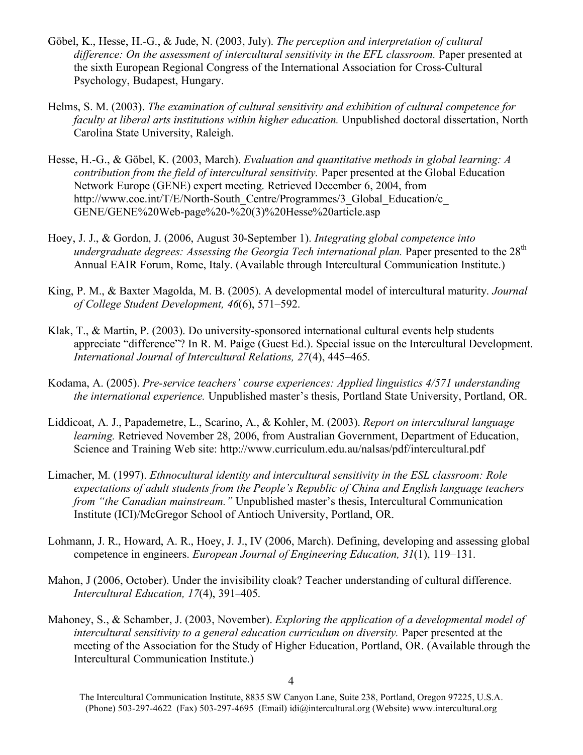- Göbel, K., Hesse, H.-G., & Jude, N. (2003, July). *The perception and interpretation of cultural difference: On the assessment of intercultural sensitivity in the EFL classroom.* Paper presented at the sixth European Regional Congress of the International Association for Cross-Cultural Psychology, Budapest, Hungary.
- Helms, S. M. (2003). *The examination of cultural sensitivity and exhibition of cultural competence for faculty at liberal arts institutions within higher education.* Unpublished doctoral dissertation, North Carolina State University, Raleigh.
- Hesse, H.-G., & Göbel, K. (2003, March). *Evaluation and quantitative methods in global learning: A contribution from the field of intercultural sensitivity.* Paper presented at the Global Education Network Europe (GENE) expert meeting. Retrieved December 6, 2004, from http://www.coe.int/T/E/North-South\_Centre/Programmes/3\_Global\_Education/c GENE/GENE%20Web-page%20-%20(3)%20Hesse%20article.asp
- Hoey, J. J., & Gordon, J. (2006, August 30-September 1). *Integrating global competence into undergraduate degrees: Assessing the Georgia Tech international plan.* Paper presented to the 28<sup>th</sup> Annual EAIR Forum, Rome, Italy. (Available through Intercultural Communication Institute.)
- King, P. M., & Baxter Magolda, M. B. (2005). A developmental model of intercultural maturity. *Journal of College Student Development, 46*(6), 571–592.
- Klak, T., & Martin, P. (2003). Do university-sponsored international cultural events help students appreciate "difference"? In R. M. Paige (Guest Ed.). Special issue on the Intercultural Development. *International Journal of Intercultural Relations, 27*(4), 445–465*.*
- Kodama, A. (2005). *Pre-service teachers' course experiences: Applied linguistics 4/571 understanding the international experience.* Unpublished master's thesis, Portland State University, Portland, OR.
- Liddicoat, A. J., Papademetre, L., Scarino, A., & Kohler, M. (2003). *Report on intercultural language learning.* Retrieved November 28, 2006, from Australian Government, Department of Education, Science and Training Web site: http://www.curriculum.edu.au/nalsas/pdf/intercultural.pdf
- Limacher, M. (1997). *Ethnocultural identity and intercultural sensitivity in the ESL classroom: Role expectations of adult students from the People's Republic of China and English language teachers from "the Canadian mainstream."* Unpublished master's thesis, Intercultural Communication Institute (ICI)/McGregor School of Antioch University, Portland, OR.
- Lohmann, J. R., Howard, A. R., Hoey, J. J., IV (2006, March). Defining, developing and assessing global competence in engineers. *European Journal of Engineering Education, 31*(1), 119–131.
- Mahon, J (2006, October). Under the invisibility cloak? Teacher understanding of cultural difference. *Intercultural Education, 17*(4), 391–405.
- Mahoney, S., & Schamber, J. (2003, November). *Exploring the application of a developmental model of intercultural sensitivity to a general education curriculum on diversity.* Paper presented at the meeting of the Association for the Study of Higher Education, Portland, OR. (Available through the Intercultural Communication Institute.)

The Intercultural Communication Institute, 8835 SW Canyon Lane, Suite 238, Portland, Oregon 97225, U.S.A. (Phone) 503-297-4622 (Fax) 503-297-4695 (Email) idi@intercultural.org (Website) www.intercultural.org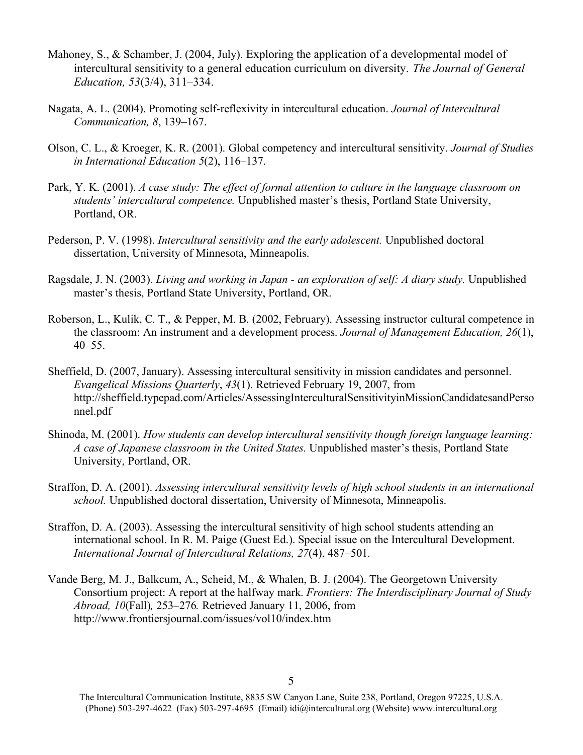- Mahoney, S., & Schamber, J. (2004, July). Exploring the application of a developmental model of intercultural sensitivity to a general education curriculum on diversity. *The Journal of General Education, 53*(3/4), 311–334.
- Nagata, A. L. (2004). Promoting self-reflexivity in intercultural education. *Journal of Intercultural Communication, 8*, 139–167.
- Olson, C. L., & Kroeger, K. R. (2001). Global competency and intercultural sensitivity. *Journal of Studies in International Education 5*(2), 116–137.
- Park, Y. K. (2001). *A case study: The effect of formal attention to culture in the language classroom on students' intercultural competence.* Unpublished master's thesis, Portland State University, Portland, OR.
- Pederson, P. V. (1998). *Intercultural sensitivity and the early adolescent.* Unpublished doctoral dissertation, University of Minnesota, Minneapolis.
- Ragsdale, J. N. (2003). *Living and working in Japan - an exploration of self: A diary study.* Unpublished master's thesis, Portland State University, Portland, OR.
- Roberson, L., Kulik, C. T., & Pepper, M. B. (2002, February). Assessing instructor cultural competence in the classroom: An instrument and a development process. *Journal of Management Education, 26*(1), 40–55.
- Sheffield, D. (2007, January). Assessing intercultural sensitivity in mission candidates and personnel. *Evangelical Missions Quarterly*, *43*(1). Retrieved February 19, 2007, from http://sheffield.typepad.com/Articles/AssessingInterculturalSensitivityinMissionCandidatesandPerso nnel.pdf
- Shinoda, M. (2001). *How students can develop intercultural sensitivity though foreign language learning: A case of Japanese classroom in the United States.* Unpublished master's thesis, Portland State University, Portland, OR.
- Straffon, D. A. (2001). *Assessing intercultural sensitivity levels of high school students in an international school.* Unpublished doctoral dissertation, University of Minnesota, Minneapolis.
- Straffon, D. A. (2003). Assessing the intercultural sensitivity of high school students attending an international school. In R. M. Paige (Guest Ed.). Special issue on the Intercultural Development. *International Journal of Intercultural Relations, 27*(4), 487–501*.*
- Vande Berg, M. J., Balkcum, A., Scheid, M., & Whalen, B. J. (2004). The Georgetown University Consortium project: A report at the halfway mark. *Frontiers: The Interdisciplinary Journal of Study Abroad, 10*(Fall)*,* 253–276*.* Retrieved January 11, 2006, from http://www.frontiersjournal.com/issues/vol10/index.htm

<sup>5</sup>

The Intercultural Communication Institute, 8835 SW Canyon Lane, Suite 238, Portland, Oregon 97225, U.S.A. (Phone) 503-297-4622 (Fax) 503-297-4695 (Email) idi@intercultural.org (Website) www.intercultural.org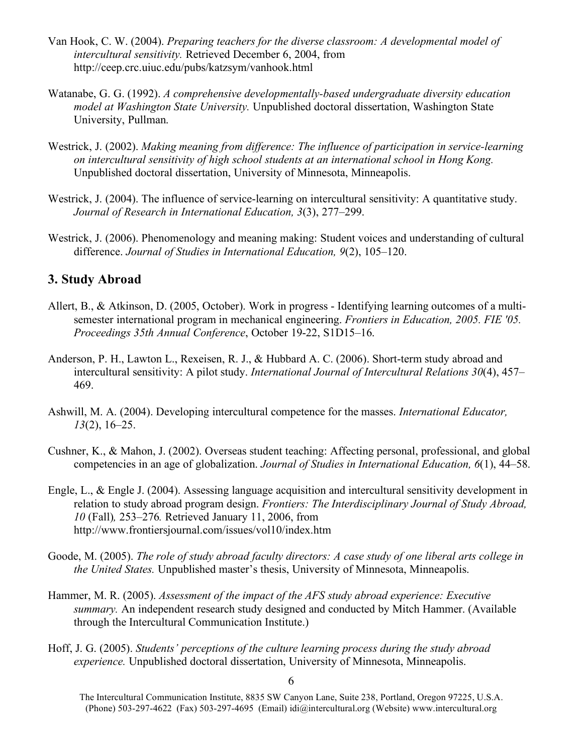- Van Hook, C. W. (2004). *Preparing teachers for the diverse classroom: A developmental model of intercultural sensitivity.* Retrieved December 6, 2004, from http://ceep.crc.uiuc.edu/pubs/katzsym/vanhook.html
- Watanabe, G. G. (1992). *A comprehensive developmentally-based undergraduate diversity education model at Washington State University.* Unpublished doctoral dissertation, Washington State University, Pullman.
- Westrick, J. (2002). *Making meaning from difference: The influence of participation in service-learning on intercultural sensitivity of high school students at an international school in Hong Kong.* Unpublished doctoral dissertation, University of Minnesota, Minneapolis.
- Westrick, J. (2004). The influence of service-learning on intercultural sensitivity: A quantitative study. *Journal of Research in International Education, 3*(3), 277–299.
- Westrick, J. (2006). Phenomenology and meaning making: Student voices and understanding of cultural difference. *Journal of Studies in International Education, 9*(2), 105–120.

# **3. Study Abroad**

- Allert, B., & Atkinson, D. (2005, October). Work in progress Identifying learning outcomes of a multisemester international program in mechanical engineering. *Frontiers in Education, 2005. FIE '05. Proceedings 35th Annual Conference*, October 19-22, S1D15–16.
- Anderson, P. H., Lawton L., Rexeisen, R. J., & Hubbard A. C. (2006). Short-term study abroad and intercultural sensitivity: A pilot study. *International Journal of Intercultural Relations 30*(4), 457– 469.
- Ashwill, M. A. (2004). Developing intercultural competence for the masses. *International Educator, 13*(2), 16–25.
- Cushner, K., & Mahon, J. (2002). Overseas student teaching: Affecting personal, professional, and global competencies in an age of globalization. *Journal of Studies in International Education, 6*(1), 44–58.
- Engle, L., & Engle J. (2004). Assessing language acquisition and intercultural sensitivity development in relation to study abroad program design. *Frontiers: The Interdisciplinary Journal of Study Abroad, 10* (Fall)*,* 253–276*.* Retrieved January 11, 2006, from http://www.frontiersjournal.com/issues/vol10/index.htm
- Goode, M. (2005). *The role of study abroad faculty directors: A case study of one liberal arts college in the United States.* Unpublished master's thesis, University of Minnesota, Minneapolis.
- Hammer, M. R. (2005). *Assessment of the impact of the AFS study abroad experience: Executive summary.* An independent research study designed and conducted by Mitch Hammer. (Available through the Intercultural Communication Institute.)
- Hoff, J. G. (2005). *Students' perceptions of the culture learning process during the study abroad experience.* Unpublished doctoral dissertation, University of Minnesota, Minneapolis.

The Intercultural Communication Institute, 8835 SW Canyon Lane, Suite 238, Portland, Oregon 97225, U.S.A. (Phone) 503-297-4622 (Fax) 503-297-4695 (Email) idi@intercultural.org (Website) www.intercultural.org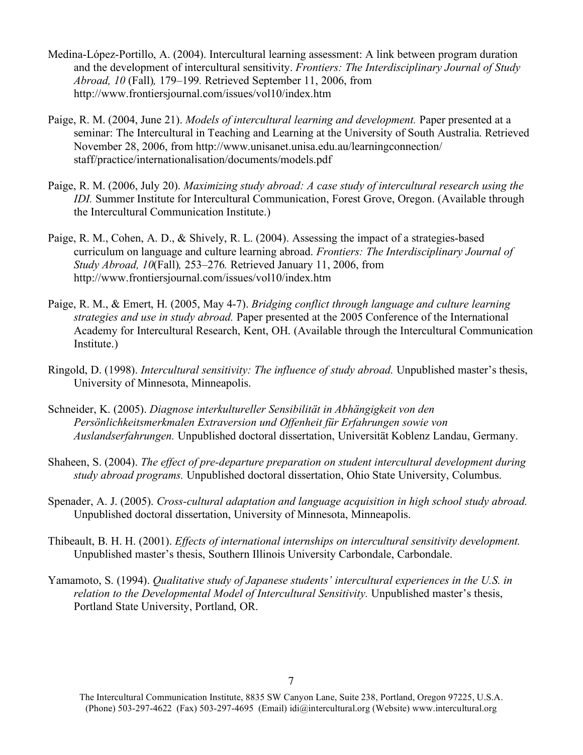- Medina-López-Portillo, A. (2004). Intercultural learning assessment: A link between program duration and the development of intercultural sensitivity. *Frontiers: The Interdisciplinary Journal of Study Abroad, 10* (Fall)*,* 179–199*.* Retrieved September 11, 2006, from http://www.frontiersjournal.com/issues/vol10/index.htm
- Paige, R. M. (2004, June 21). *Models of intercultural learning and development.* Paper presented at a seminar: The Intercultural in Teaching and Learning at the University of South Australia. Retrieved November 28, 2006, from http://www.unisanet.unisa.edu.au/learningconnection/ staff/practice/internationalisation/documents/models.pdf
- Paige, R. M. (2006, July 20). *Maximizing study abroad: A case study of intercultural research using the IDI.* Summer Institute for Intercultural Communication, Forest Grove, Oregon. (Available through the Intercultural Communication Institute.)
- Paige, R. M., Cohen, A. D., & Shively, R. L. (2004). Assessing the impact of a strategies-based curriculum on language and culture learning abroad. *Frontiers: The Interdisciplinary Journal of Study Abroad, 10*(Fall)*,* 253–276*.* Retrieved January 11, 2006, from http://www.frontiersjournal.com/issues/vol10/index.htm
- Paige, R. M., & Emert, H. (2005, May 4-7). *Bridging conflict through language and culture learning strategies and use in study abroad.* Paper presented at the 2005 Conference of the International Academy for Intercultural Research, Kent, OH. (Available through the Intercultural Communication Institute.)
- Ringold, D. (1998). *Intercultural sensitivity: The influence of study abroad.* Unpublished master's thesis, University of Minnesota, Minneapolis.
- Schneider, K. (2005). *Diagnose interkultureller Sensibilität in Abhängigkeit von den Persönlichkeitsmerkmalen Extraversion und Offenheit für Erfahrungen sowie von Auslandserfahrungen.* Unpublished doctoral dissertation, Universität Koblenz Landau, Germany.
- Shaheen, S. (2004). *The effect of pre-departure preparation on student intercultural development during study abroad programs.* Unpublished doctoral dissertation, Ohio State University, Columbus.
- Spenader, A. J. (2005). *Cross-cultural adaptation and language acquisition in high school study abroad.* Unpublished doctoral dissertation, University of Minnesota, Minneapolis.
- Thibeault, B. H. H. (2001). *Effects of international internships on intercultural sensitivity development.* Unpublished master's thesis, Southern Illinois University Carbondale, Carbondale.
- Yamamoto, S. (1994). *Qualitative study of Japanese students' intercultural experiences in the U.S. in relation to the Developmental Model of Intercultural Sensitivity.* Unpublished master's thesis, Portland State University, Portland, OR.

<sup>7</sup>

The Intercultural Communication Institute, 8835 SW Canyon Lane, Suite 238, Portland, Oregon 97225, U.S.A. (Phone) 503-297-4622 (Fax) 503-297-4695 (Email) idi@intercultural.org (Website) www.intercultural.org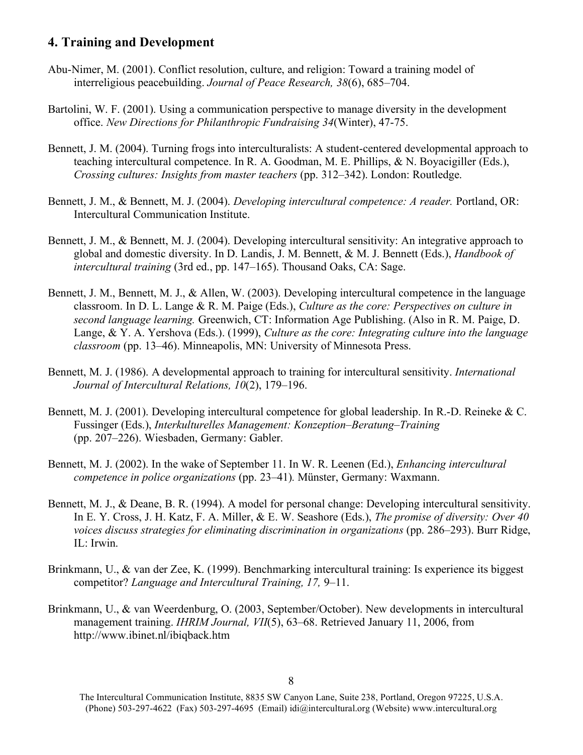### **4. Training and Development**

- Abu-Nimer, M. (2001). Conflict resolution, culture, and religion: Toward a training model of interreligious peacebuilding. *Journal of Peace Research, 38*(6), 685–704.
- Bartolini, W. F. (2001). Using a communication perspective to manage diversity in the development office. *New Directions for Philanthropic Fundraising 34*(Winter), 47-75.
- Bennett, J. M. (2004). Turning frogs into interculturalists: A student-centered developmental approach to teaching intercultural competence. In R. A. Goodman, M. E. Phillips, & N. Boyacigiller (Eds.), *Crossing cultures: Insights from master teachers* (pp. 312–342). London: Routledge.
- Bennett, J. M., & Bennett, M. J. (2004). *Developing intercultural competence: A reader.* Portland, OR: Intercultural Communication Institute.
- Bennett, J. M., & Bennett, M. J. (2004). Developing intercultural sensitivity: An integrative approach to global and domestic diversity. In D. Landis, J. M. Bennett, & M. J. Bennett (Eds.), *Handbook of intercultural training* (3rd ed., pp. 147–165). Thousand Oaks, CA: Sage.
- Bennett, J. M., Bennett, M. J., & Allen, W. (2003). Developing intercultural competence in the language classroom. In D. L. Lange & R. M. Paige (Eds.), *Culture as the core: Perspectives on culture in second language learning.* Greenwich, CT: Information Age Publishing. (Also in R. M. Paige, D. Lange, & Y. A. Yershova (Eds.). (1999), *Culture as the core: Integrating culture into the language classroom* (pp. 13–46). Minneapolis, MN: University of Minnesota Press.
- Bennett, M. J. (1986). A developmental approach to training for intercultural sensitivity. *International Journal of Intercultural Relations, 10*(2), 179–196.
- Bennett, M. J. (2001). Developing intercultural competence for global leadership. In R.-D. Reineke & C. Fussinger (Eds.), *Interkulturelles Management: Konzeption–Beratung–Training*  (pp. 207–226). Wiesbaden, Germany: Gabler.
- Bennett, M. J. (2002). In the wake of September 11. In W. R. Leenen (Ed.), *Enhancing intercultural competence in police organizations* (pp. 23–41)*.* Münster, Germany: Waxmann.
- Bennett, M. J., & Deane, B. R. (1994). A model for personal change: Developing intercultural sensitivity. In E. Y. Cross, J. H. Katz, F. A. Miller, & E. W. Seashore (Eds.), *The promise of diversity: Over 40 voices discuss strategies for eliminating discrimination in organizations* (pp. 286–293). Burr Ridge, IL: Irwin.
- Brinkmann, U., & van der Zee, K. (1999). Benchmarking intercultural training: Is experience its biggest competitor? *Language and Intercultural Training, 17,* 9–11.
- Brinkmann, U., & van Weerdenburg, O. (2003, September/October). New developments in intercultural management training. *IHRIM Journal, VII*(5), 63–68. Retrieved January 11, 2006, from http://www.ibinet.nl/ibiqback.htm

The Intercultural Communication Institute, 8835 SW Canyon Lane, Suite 238, Portland, Oregon 97225, U.S.A. (Phone) 503-297-4622 (Fax) 503-297-4695 (Email) idi@intercultural.org (Website) www.intercultural.org